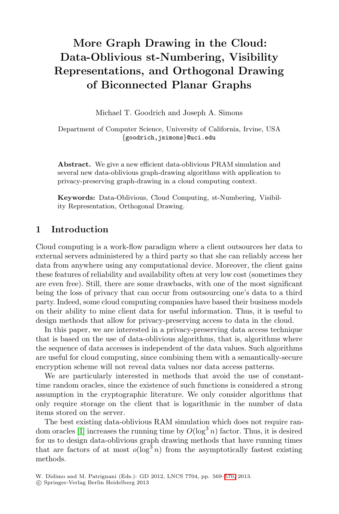## **More Graph Drawing in the Cloud: Data-Oblivious st-Numbering, Visibility Representations, and Orthogonal Drawing of Biconnected Planar Graphs**

Michael T. Goodrich and Joseph A. Simons

Department of Computer Science, University of California, Irvine, USA *{*goodrich,jsimons*}*@uci.edu

**Abstract.** We give a new efficient data-oblivious PRAM simulation and several new data-oblivious graph-drawing algorithms with application to privacy-preserving graph-drawing in a cloud computing context.

**Keywords:** Data-Oblivious, Cloud Computing, st-Numbering, Visibility Representation, Orthogonal Drawing.

## **1 Introduction**

Cloud computing is a work-flow paradigm where a client outsources her data to external servers administered by a third party so that she can reliably access her data from anywhere using any computational device. Moreover, the client gains these features of reliability and availability often at very low cost (sometimes they are even free). Still, there are some drawbacks, with one of the most significant being the loss of privacy that can occur from outsourcing one's data to a third party. Indeed, some cloud computing companies have based their business models on their ability to mine client data for useful information. Thus, it is useful to design methods that allow for privacy-preserving access to data in the cloud.

In this paper, we are interested in a privacy-preserving data access technique that is based on the use of data-oblivious algorithms, that is, algorithms where the sequence of data accesses is independent of the data values. Such algorithms are useful for cloud computing, since combining them with a semantically-secure encryption scheme will not reveal data values nor data access patterns.

We are particularly interested in methods that avoid the use of constanttime random oracles, since the existence of such functions is considered a strong assumption in the cryptographic literature. We only consider algorithms that only require storage on the client th[at i](#page-1-0)s logarithmic in the number of data items stored on the server.

The best existing data-oblivious RAM simulation which does not require random oracles [1] increases the running time by  $O(\log^3 n)$  factor. Thus, it is desired for us to design data-oblivious graph drawing methods that have running times that are factors of at most  $o(\log^3 n)$  from the asymptotically fastest existing methods.

-c Springer-Verlag Berlin Heidelberg 2013

W. Didimo and M. Patrignani (Eds.): GD 2012, LNCS 7704, pp. 569–570, 2013.